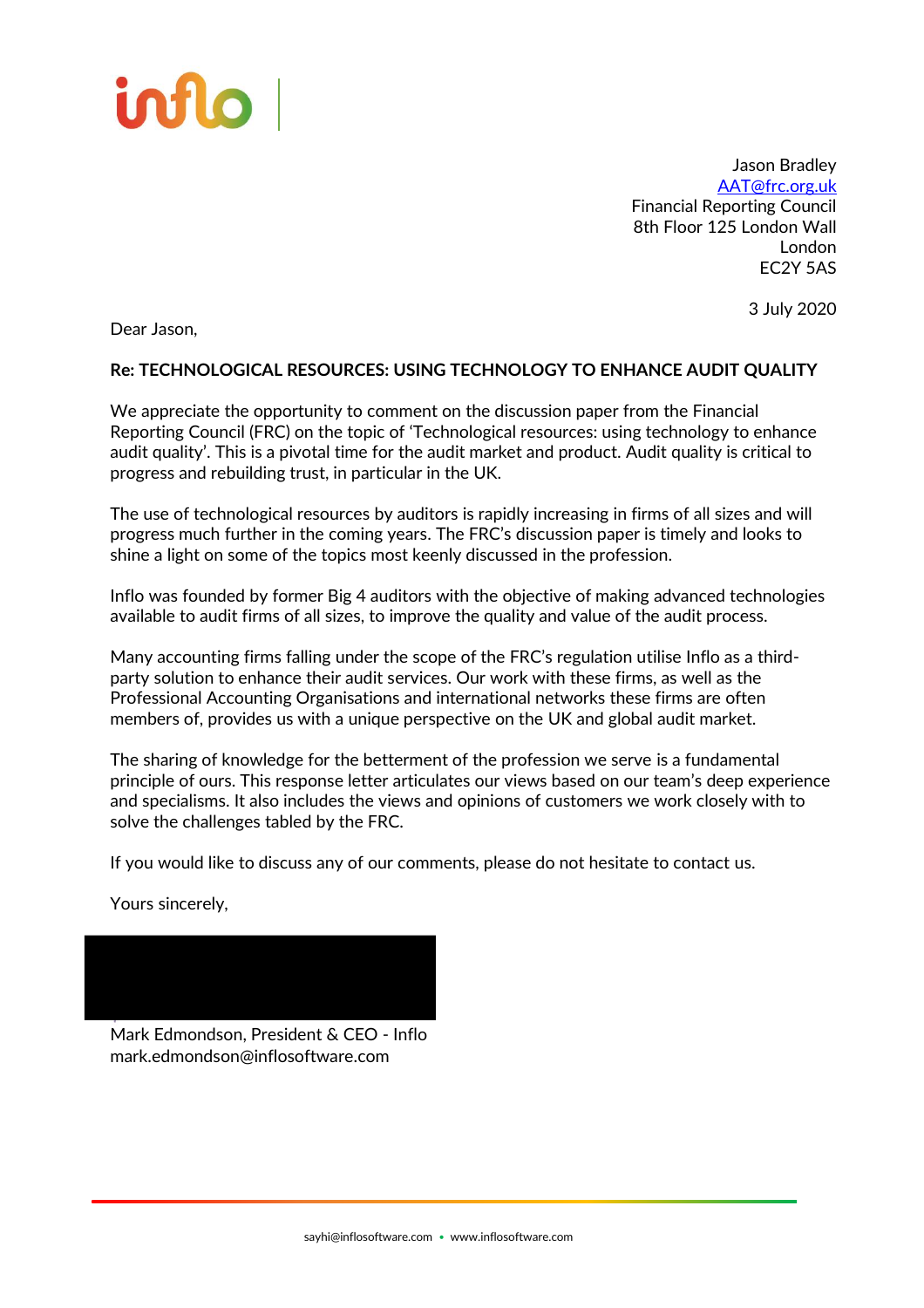

Jason Bradley [AAT@frc.org.uk](mailto:AAT@frc.org.uk) Financial Reporting Council 8th Floor 125 London Wall London EC2Y 5AS

3 July 2020

Dear Jason,

# **Re: TECHNOLOGICAL RESOURCES: USING TECHNOLOGY TO ENHANCE AUDIT QUALITY**

We appreciate the opportunity to comment on the discussion paper from the Financial Reporting Council (FRC) on the topic of 'Technological resources: using technology to enhance audit quality'. This is a pivotal time for the audit market and product. Audit quality is critical to progress and rebuilding trust, in particular in the UK.

The use of technological resources by auditors is rapidly increasing in firms of all sizes and will progress much further in the coming years. The FRC's discussion paper is timely and looks to shine a light on some of the topics most keenly discussed in the profession.

Inflo was founded by former Big 4 auditors with the objective of making advanced technologies available to audit firms of all sizes, to improve the quality and value of the audit process.

Many accounting firms falling under the scope of the FRC's regulation utilise Inflo as a thirdparty solution to enhance their audit services. Our work with these firms, as well as the Professional Accounting Organisations and international networks these firms are often members of, provides us with a unique perspective on the UK and global audit market.

The sharing of knowledge for the betterment of the profession we serve is a fundamental principle of ours. This response letter articulates our views based on our team's deep experience and specialisms. It also includes the views and opinions of customers we work closely with to solve the challenges tabled by the FRC.

If you would like to discuss any of our comments, please do not hesitate to contact us.

Yours sincerely,



Mark Edmondson, President & CEO - Inflo mark.edmondson@inflosoftware.com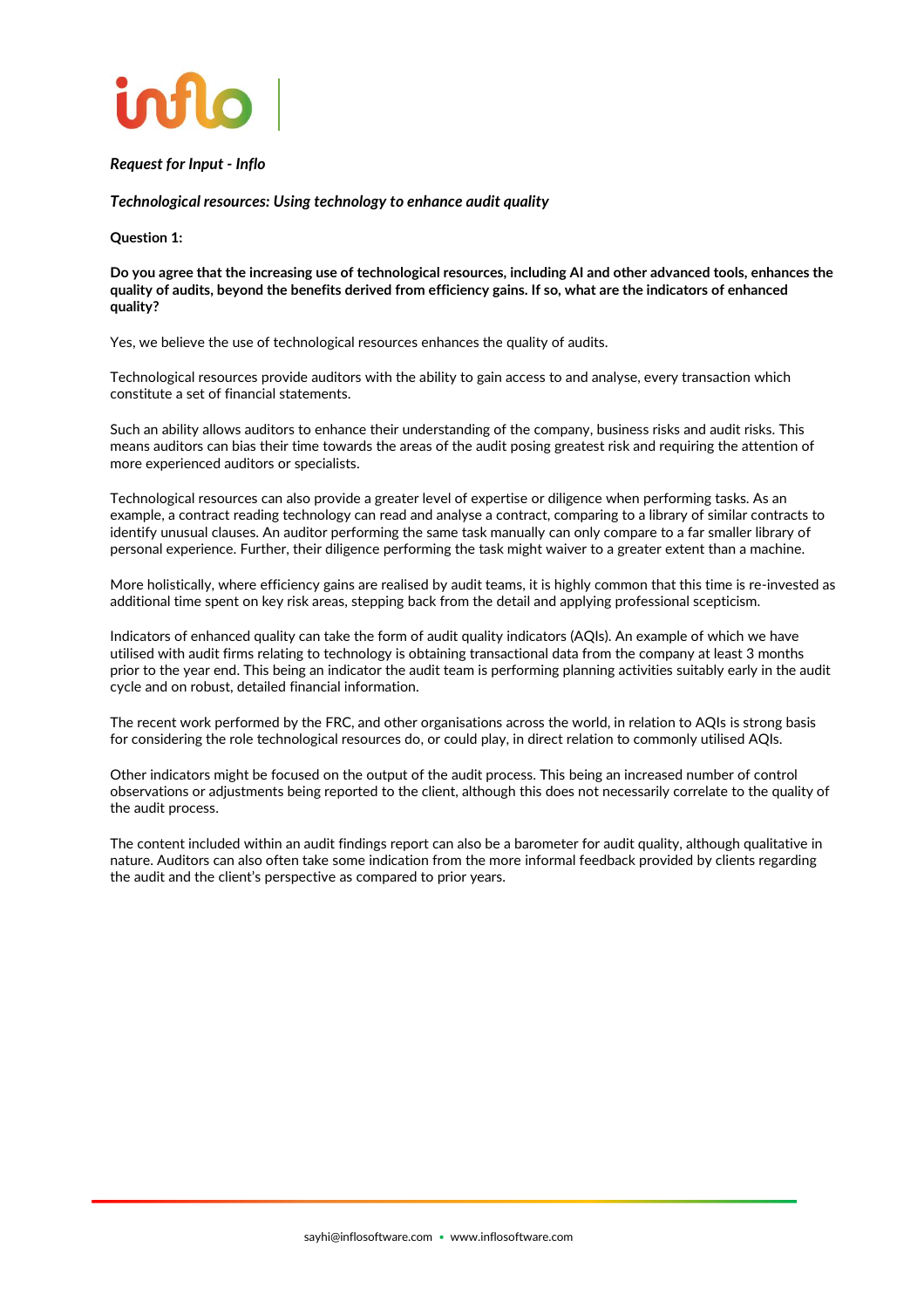

### *Request for Input - Inflo*

*Technological resources: Using technology to enhance audit quality*

**Question 1:**

**Do you agree that the increasing use of technological resources, including AI and other advanced tools, enhances the quality of audits, beyond the benefits derived from efficiency gains. If so, what are the indicators of enhanced quality?**

Yes, we believe the use of technological resources enhances the quality of audits.

Technological resources provide auditors with the ability to gain access to and analyse, every transaction which constitute a set of financial statements.

Such an ability allows auditors to enhance their understanding of the company, business risks and audit risks. This means auditors can bias their time towards the areas of the audit posing greatest risk and requiring the attention of more experienced auditors or specialists.

Technological resources can also provide a greater level of expertise or diligence when performing tasks. As an example, a contract reading technology can read and analyse a contract, comparing to a library of similar contracts to identify unusual clauses. An auditor performing the same task manually can only compare to a far smaller library of personal experience. Further, their diligence performing the task might waiver to a greater extent than a machine.

More holistically, where efficiency gains are realised by audit teams, it is highly common that this time is re-invested as additional time spent on key risk areas, stepping back from the detail and applying professional scepticism.

Indicators of enhanced quality can take the form of audit quality indicators (AQIs). An example of which we have utilised with audit firms relating to technology is obtaining transactional data from the company at least 3 months prior to the year end. This being an indicator the audit team is performing planning activities suitably early in the audit cycle and on robust, detailed financial information.

The recent work performed by the FRC, and other organisations across the world, in relation to AQIs is strong basis for considering the role technological resources do, or could play, in direct relation to commonly utilised AQIs.

Other indicators might be focused on the output of the audit process. This being an increased number of control observations or adjustments being reported to the client, although this does not necessarily correlate to the quality of the audit process.

The content included within an audit findings report can also be a barometer for audit quality, although qualitative in nature. Auditors can also often take some indication from the more informal feedback provided by clients regarding the audit and the client's perspective as compared to prior years.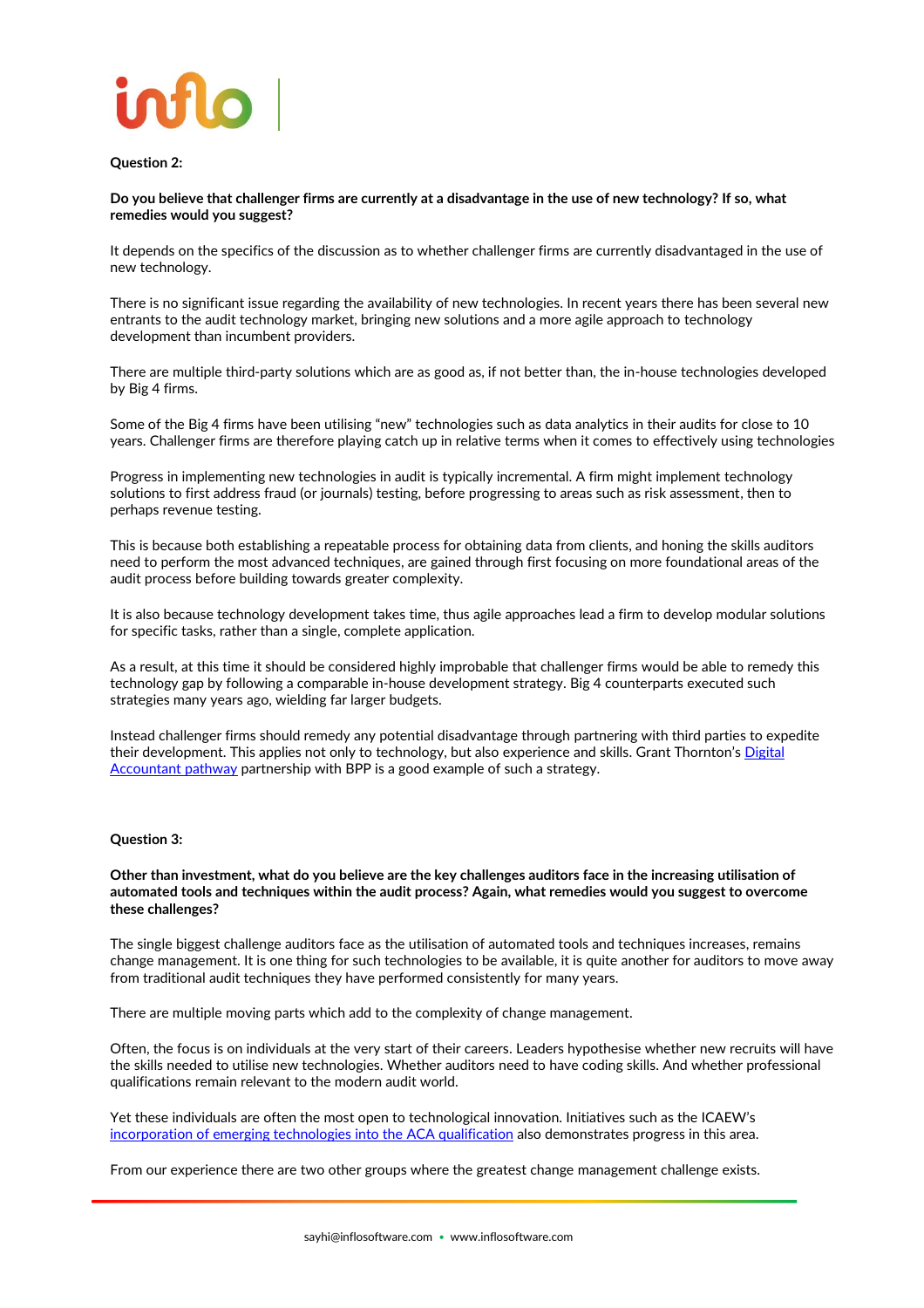

### **Question 2:**

**Do you believe that challenger firms are currently at a disadvantage in the use of new technology? If so, what remedies would you suggest?**

It depends on the specifics of the discussion as to whether challenger firms are currently disadvantaged in the use of new technology.

There is no significant issue regarding the availability of new technologies. In recent years there has been several new entrants to the audit technology market, bringing new solutions and a more agile approach to technology development than incumbent providers.

There are multiple third-party solutions which are as good as, if not better than, the in-house technologies developed by Big 4 firms.

Some of the Big 4 firms have been utilising "new" technologies such as data analytics in their audits for close to 10 years. Challenger firms are therefore playing catch up in relative terms when it comes to effectively using technologies

Progress in implementing new technologies in audit is typically incremental. A firm might implement technology solutions to first address fraud (or journals) testing, before progressing to areas such as risk assessment, then to perhaps revenue testing.

This is because both establishing a repeatable process for obtaining data from clients, and honing the skills auditors need to perform the most advanced techniques, are gained through first focusing on more foundational areas of the audit process before building towards greater complexity.

It is also because technology development takes time, thus agile approaches lead a firm to develop modular solutions for specific tasks, rather than a single, complete application.

As a result, at this time it should be considered highly improbable that challenger firms would be able to remedy this technology gap by following a comparable in-house development strategy. Big 4 counterparts executed such strategies many years ago, wielding far larger budgets.

Instead challenger firms should remedy any potential disadvantage through partnering with third parties to expedite their development. This applies not only to technology, but also experience and skills. Grant Thornton's Digital [Accountant pathway](https://www.grantthornton.co.uk/en/news-centre/new-digital-accountant-pathway-launched-for-trainees/) partnership with BPP is a good example of such a strategy.

#### **Question 3:**

#### **Other than investment, what do you believe are the key challenges auditors face in the increasing utilisation of automated tools and techniques within the audit process? Again, what remedies would you suggest to overcome these challenges?**

The single biggest challenge auditors face as the utilisation of automated tools and techniques increases, remains change management. It is one thing for such technologies to be available, it is quite another for auditors to move away from traditional audit techniques they have performed consistently for many years.

There are multiple moving parts which add to the complexity of change management.

Often, the focus is on individuals at the very start of their careers. Leaders hypothesise whether new recruits will have the skills needed to utilise new technologies. Whether auditors need to have coding skills. And whether professional qualifications remain relevant to the modern audit world.

Yet these individuals are often the most open to technological innovation. Initiatives such as the ICAEW's [incorporation of emerging technologies into the ACA qualification](https://www.icaew.com/about-icaew/news/press-release-archive/2019-news-releases/icaew-to-incorporate-emerging-technologies-into-the-aca-qualification) also demonstrates progress in this area.

From our experience there are two other groups where the greatest change management challenge exists.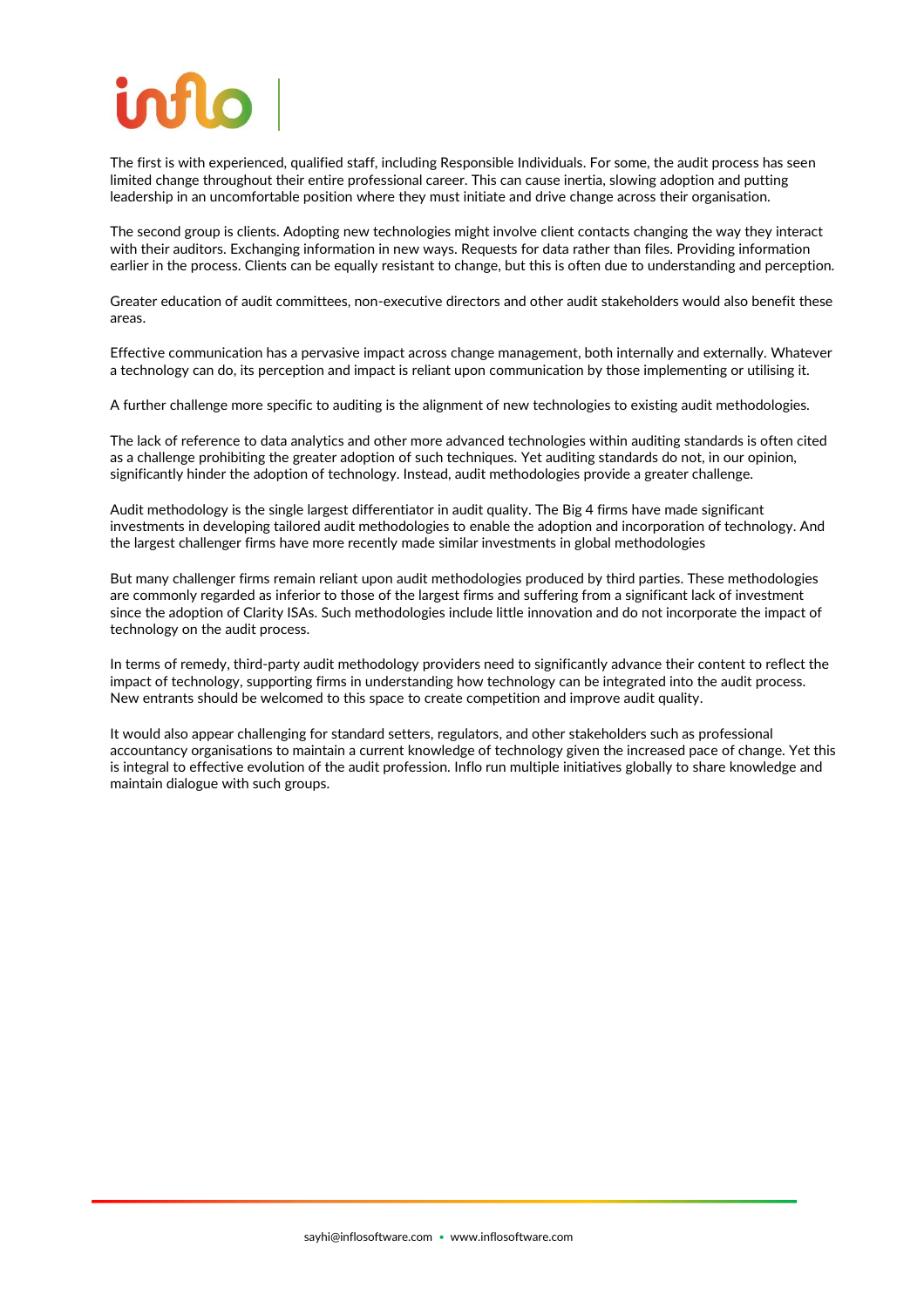The first is with experienced, qualified staff, including Responsible Individuals. For some, the audit process has seen limited change throughout their entire professional career. This can cause inertia, slowing adoption and putting leadership in an uncomfortable position where they must initiate and drive change across their organisation.

The second group is clients. Adopting new technologies might involve client contacts changing the way they interact with their auditors. Exchanging information in new ways. Requests for data rather than files. Providing information earlier in the process. Clients can be equally resistant to change, but this is often due to understanding and perception.

Greater education of audit committees, non-executive directors and other audit stakeholders would also benefit these areas.

Effective communication has a pervasive impact across change management, both internally and externally. Whatever a technology can do, its perception and impact is reliant upon communication by those implementing or utilising it.

A further challenge more specific to auditing is the alignment of new technologies to existing audit methodologies.

The lack of reference to data analytics and other more advanced technologies within auditing standards is often cited as a challenge prohibiting the greater adoption of such techniques. Yet auditing standards do not, in our opinion, significantly hinder the adoption of technology. Instead, audit methodologies provide a greater challenge.

Audit methodology is the single largest differentiator in audit quality. The Big 4 firms have made significant investments in developing tailored audit methodologies to enable the adoption and incorporation of technology. And the largest challenger firms have more recently made similar investments in global methodologies

But many challenger firms remain reliant upon audit methodologies produced by third parties. These methodologies are commonly regarded as inferior to those of the largest firms and suffering from a significant lack of investment since the adoption of Clarity ISAs. Such methodologies include little innovation and do not incorporate the impact of technology on the audit process.

In terms of remedy, third-party audit methodology providers need to significantly advance their content to reflect the impact of technology, supporting firms in understanding how technology can be integrated into the audit process. New entrants should be welcomed to this space to create competition and improve audit quality.

It would also appear challenging for standard setters, regulators, and other stakeholders such as professional accountancy organisations to maintain a current knowledge of technology given the increased pace of change. Yet this is integral to effective evolution of the audit profession. Inflo run multiple initiatives globally to share knowledge and maintain dialogue with such groups.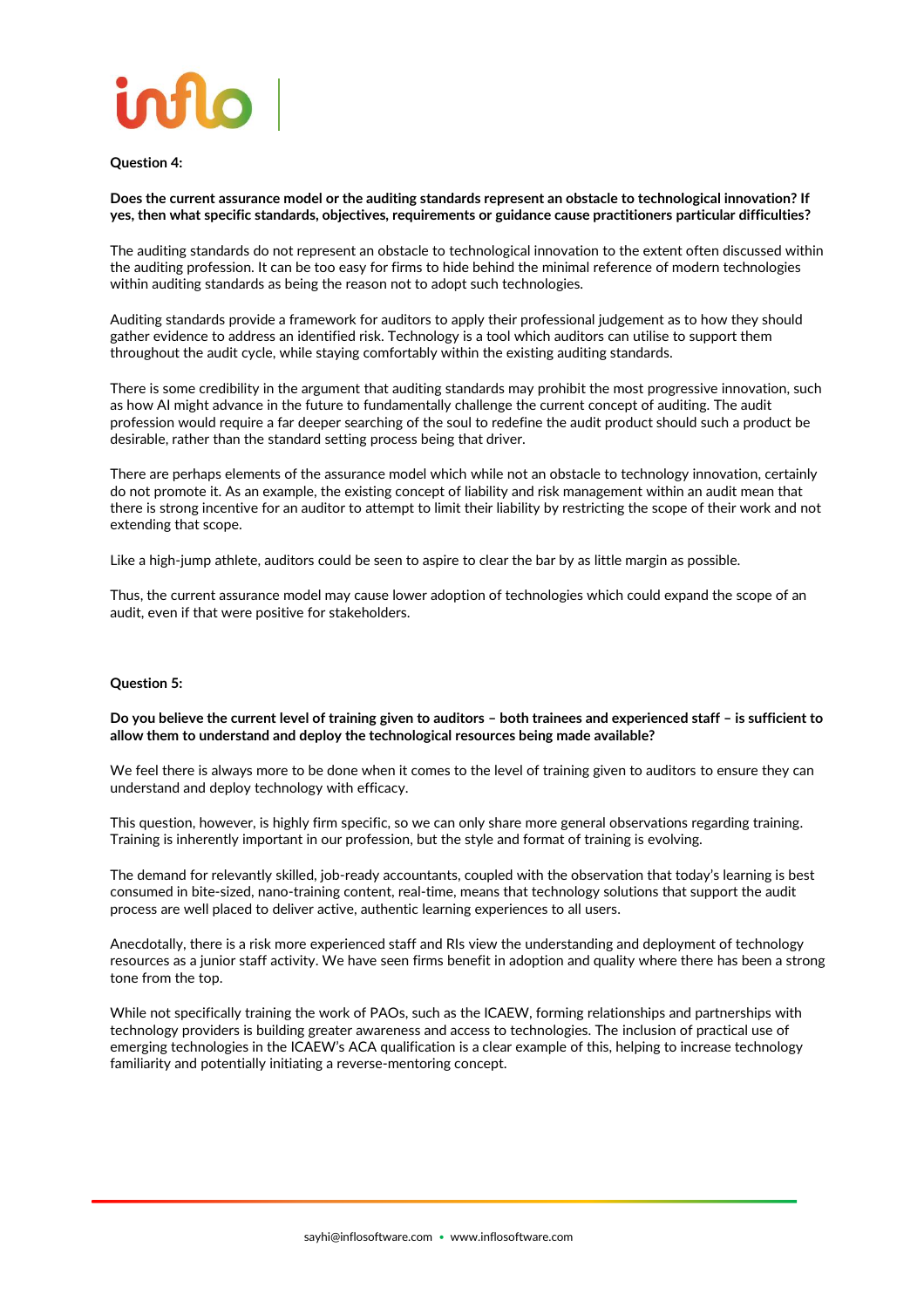

**Question 4:**

**Does the current assurance model or the auditing standards represent an obstacle to technological innovation? If yes, then what specific standards, objectives, requirements or guidance cause practitioners particular difficulties?**

The auditing standards do not represent an obstacle to technological innovation to the extent often discussed within the auditing profession. It can be too easy for firms to hide behind the minimal reference of modern technologies within auditing standards as being the reason not to adopt such technologies.

Auditing standards provide a framework for auditors to apply their professional judgement as to how they should gather evidence to address an identified risk. Technology is a tool which auditors can utilise to support them throughout the audit cycle, while staying comfortably within the existing auditing standards.

There is some credibility in the argument that auditing standards may prohibit the most progressive innovation, such as how AI might advance in the future to fundamentally challenge the current concept of auditing. The audit profession would require a far deeper searching of the soul to redefine the audit product should such a product be desirable, rather than the standard setting process being that driver.

There are perhaps elements of the assurance model which while not an obstacle to technology innovation, certainly do not promote it. As an example, the existing concept of liability and risk management within an audit mean that there is strong incentive for an auditor to attempt to limit their liability by restricting the scope of their work and not extending that scope.

Like a high-jump athlete, auditors could be seen to aspire to clear the bar by as little margin as possible.

Thus, the current assurance model may cause lower adoption of technologies which could expand the scope of an audit, even if that were positive for stakeholders.

#### **Question 5:**

**Do you believe the current level of training given to auditors – both trainees and experienced staff – is sufficient to allow them to understand and deploy the technological resources being made available?**

We feel there is always more to be done when it comes to the level of training given to auditors to ensure they can understand and deploy technology with efficacy.

This question, however, is highly firm specific, so we can only share more general observations regarding training. Training is inherently important in our profession, but the style and format of training is evolving.

The demand for relevantly skilled, job-ready accountants, coupled with the observation that today's learning is best consumed in bite-sized, nano-training content, real-time, means that technology solutions that support the audit process are well placed to deliver active, authentic learning experiences to all users.

Anecdotally, there is a risk more experienced staff and RIs view the understanding and deployment of technology resources as a junior staff activity. We have seen firms benefit in adoption and quality where there has been a strong tone from the top.

While not specifically training the work of PAOs, such as the ICAEW, forming relationships and partnerships with technology providers is building greater awareness and access to technologies. The inclusion of practical use of emerging technologies in the ICAEW's ACA qualification is a clear example of this, helping to increase technology familiarity and potentially initiating a reverse-mentoring concept.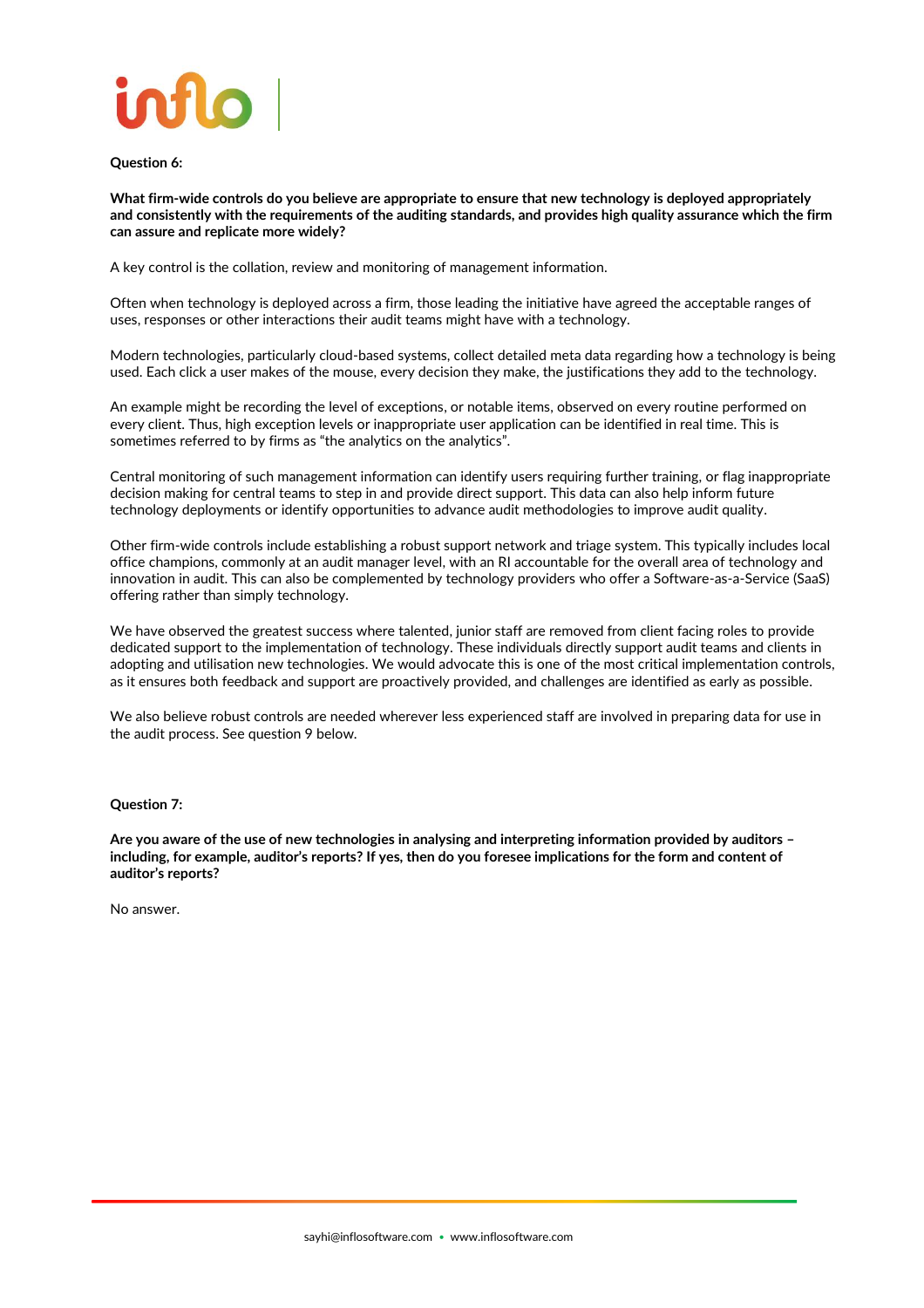

**Question 6:**

**What firm-wide controls do you believe are appropriate to ensure that new technology is deployed appropriately and consistently with the requirements of the auditing standards, and provides high quality assurance which the firm can assure and replicate more widely?**

A key control is the collation, review and monitoring of management information.

Often when technology is deployed across a firm, those leading the initiative have agreed the acceptable ranges of uses, responses or other interactions their audit teams might have with a technology.

Modern technologies, particularly cloud-based systems, collect detailed meta data regarding how a technology is being used. Each click a user makes of the mouse, every decision they make, the justifications they add to the technology.

An example might be recording the level of exceptions, or notable items, observed on every routine performed on every client. Thus, high exception levels or inappropriate user application can be identified in real time. This is sometimes referred to by firms as "the analytics on the analytics".

Central monitoring of such management information can identify users requiring further training, or flag inappropriate decision making for central teams to step in and provide direct support. This data can also help inform future technology deployments or identify opportunities to advance audit methodologies to improve audit quality.

Other firm-wide controls include establishing a robust support network and triage system. This typically includes local office champions, commonly at an audit manager level, with an RI accountable for the overall area of technology and innovation in audit. This can also be complemented by technology providers who offer a Software-as-a-Service (SaaS) offering rather than simply technology.

We have observed the greatest success where talented, junior staff are removed from client facing roles to provide dedicated support to the implementation of technology. These individuals directly support audit teams and clients in adopting and utilisation new technologies. We would advocate this is one of the most critical implementation controls, as it ensures both feedback and support are proactively provided, and challenges are identified as early as possible.

We also believe robust controls are needed wherever less experienced staff are involved in preparing data for use in the audit process. See question 9 below.

**Question 7:**

**Are you aware of the use of new technologies in analysing and interpreting information provided by auditors – including, for example, auditor's reports? If yes, then do you foresee implications for the form and content of auditor's reports?**

No answer.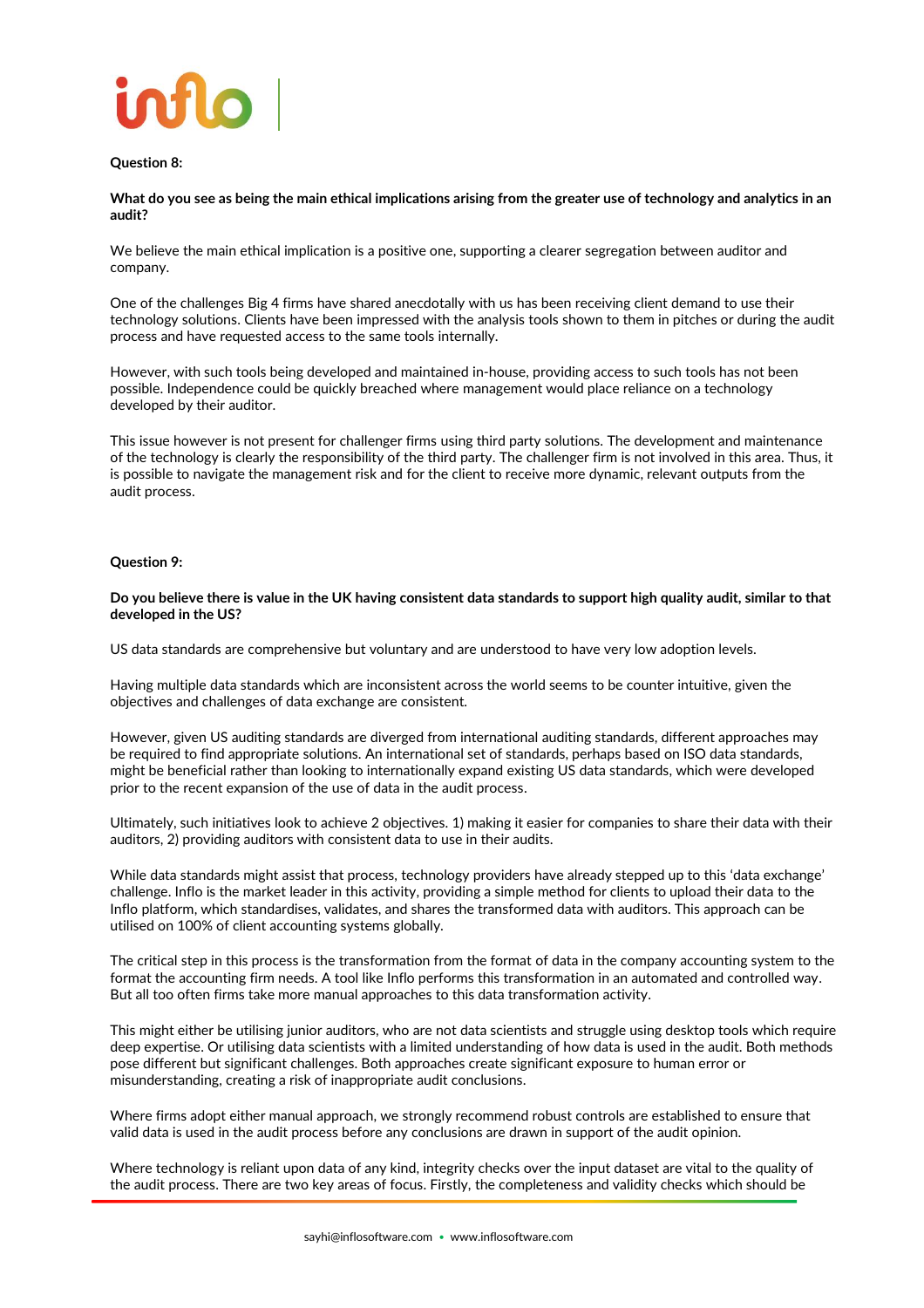

### **Question 8:**

**What do you see as being the main ethical implications arising from the greater use of technology and analytics in an audit?**

We believe the main ethical implication is a positive one, supporting a clearer segregation between auditor and company.

One of the challenges Big 4 firms have shared anecdotally with us has been receiving client demand to use their technology solutions. Clients have been impressed with the analysis tools shown to them in pitches or during the audit process and have requested access to the same tools internally.

However, with such tools being developed and maintained in-house, providing access to such tools has not been possible. Independence could be quickly breached where management would place reliance on a technology developed by their auditor.

This issue however is not present for challenger firms using third party solutions. The development and maintenance of the technology is clearly the responsibility of the third party. The challenger firm is not involved in this area. Thus, it is possible to navigate the management risk and for the client to receive more dynamic, relevant outputs from the audit process.

#### **Question 9:**

**Do you believe there is value in the UK having consistent data standards to support high quality audit, similar to that developed in the US?**

US data standards are comprehensive but voluntary and are understood to have very low adoption levels.

Having multiple data standards which are inconsistent across the world seems to be counter intuitive, given the objectives and challenges of data exchange are consistent.

However, given US auditing standards are diverged from international auditing standards, different approaches may be required to find appropriate solutions. An international set of standards, perhaps based on ISO data standards, might be beneficial rather than looking to internationally expand existing US data standards, which were developed prior to the recent expansion of the use of data in the audit process.

Ultimately, such initiatives look to achieve 2 objectives. 1) making it easier for companies to share their data with their auditors, 2) providing auditors with consistent data to use in their audits.

While data standards might assist that process, technology providers have already stepped up to this 'data exchange' challenge. Inflo is the market leader in this activity, providing a simple method for clients to upload their data to the Inflo platform, which standardises, validates, and shares the transformed data with auditors. This approach can be utilised on 100% of client accounting systems globally.

The critical step in this process is the transformation from the format of data in the company accounting system to the format the accounting firm needs. A tool like Inflo performs this transformation in an automated and controlled way. But all too often firms take more manual approaches to this data transformation activity.

This might either be utilising junior auditors, who are not data scientists and struggle using desktop tools which require deep expertise. Or utilising data scientists with a limited understanding of how data is used in the audit. Both methods pose different but significant challenges. Both approaches create significant exposure to human error or misunderstanding, creating a risk of inappropriate audit conclusions.

Where firms adopt either manual approach, we strongly recommend robust controls are established to ensure that valid data is used in the audit process before any conclusions are drawn in support of the audit opinion.

Where technology is reliant upon data of any kind, integrity checks over the input dataset are vital to the quality of the audit process. There are two key areas of focus. Firstly, the completeness and validity checks which should be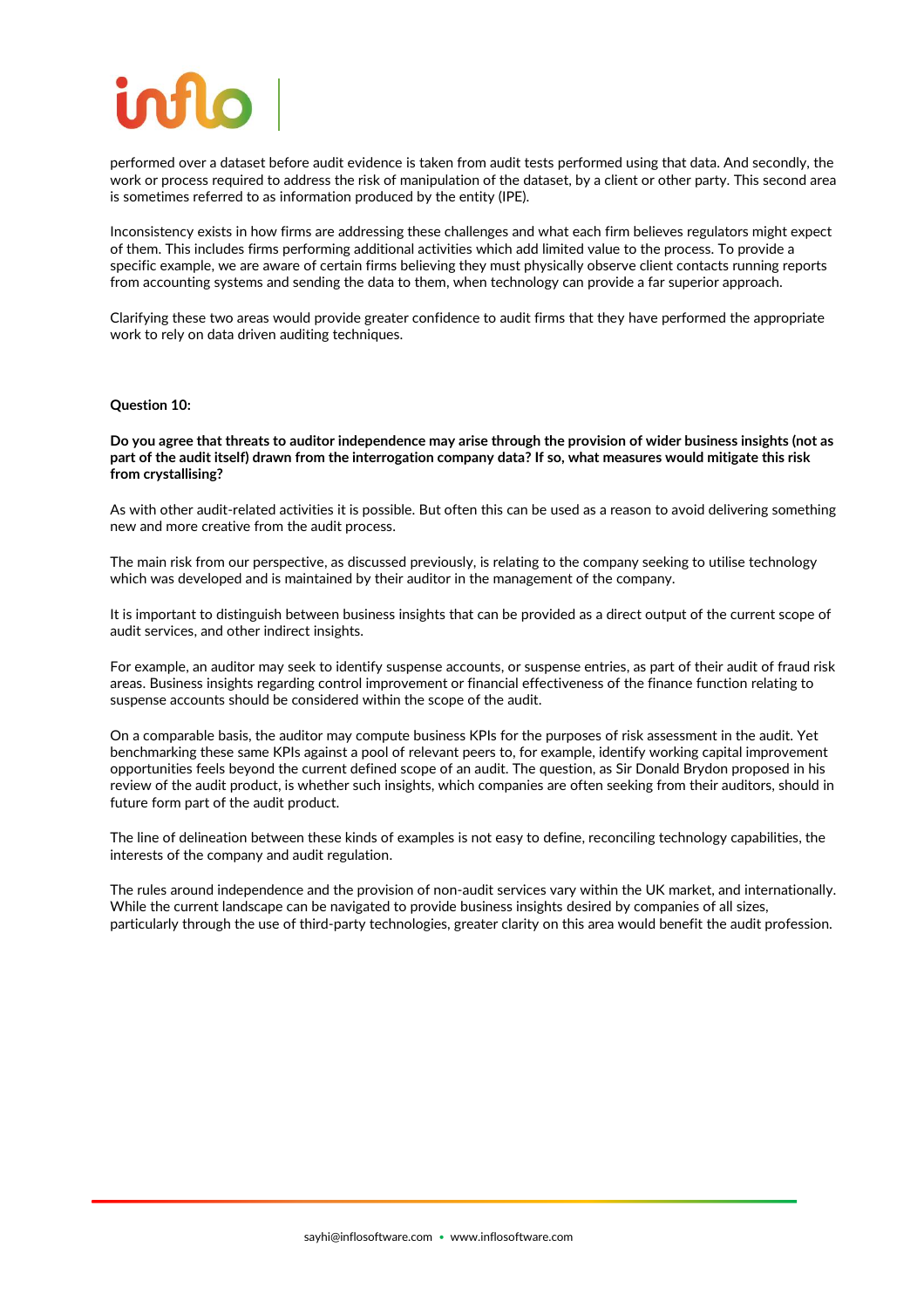performed over a dataset before audit evidence is taken from audit tests performed using that data. And secondly, the work or process required to address the risk of manipulation of the dataset, by a client or other party. This second area is sometimes referred to as information produced by the entity (IPE).

Inconsistency exists in how firms are addressing these challenges and what each firm believes regulators might expect of them. This includes firms performing additional activities which add limited value to the process. To provide a specific example, we are aware of certain firms believing they must physically observe client contacts running reports from accounting systems and sending the data to them, when technology can provide a far superior approach.

Clarifying these two areas would provide greater confidence to audit firms that they have performed the appropriate work to rely on data driven auditing techniques.

#### **Question 10:**

#### **Do you agree that threats to auditor independence may arise through the provision of wider business insights (not as part of the audit itself) drawn from the interrogation company data? If so, what measures would mitigate this risk from crystallising?**

As with other audit-related activities it is possible. But often this can be used as a reason to avoid delivering something new and more creative from the audit process.

The main risk from our perspective, as discussed previously, is relating to the company seeking to utilise technology which was developed and is maintained by their auditor in the management of the company.

It is important to distinguish between business insights that can be provided as a direct output of the current scope of audit services, and other indirect insights.

For example, an auditor may seek to identify suspense accounts, or suspense entries, as part of their audit of fraud risk areas. Business insights regarding control improvement or financial effectiveness of the finance function relating to suspense accounts should be considered within the scope of the audit.

On a comparable basis, the auditor may compute business KPIs for the purposes of risk assessment in the audit. Yet benchmarking these same KPIs against a pool of relevant peers to, for example, identify working capital improvement opportunities feels beyond the current defined scope of an audit. The question, as Sir Donald Brydon proposed in his review of the audit product, is whether such insights, which companies are often seeking from their auditors, should in future form part of the audit product.

The line of delineation between these kinds of examples is not easy to define, reconciling technology capabilities, the interests of the company and audit regulation.

The rules around independence and the provision of non-audit services vary within the UK market, and internationally. While the current landscape can be navigated to provide business insights desired by companies of all sizes, particularly through the use of third-party technologies, greater clarity on this area would benefit the audit profession.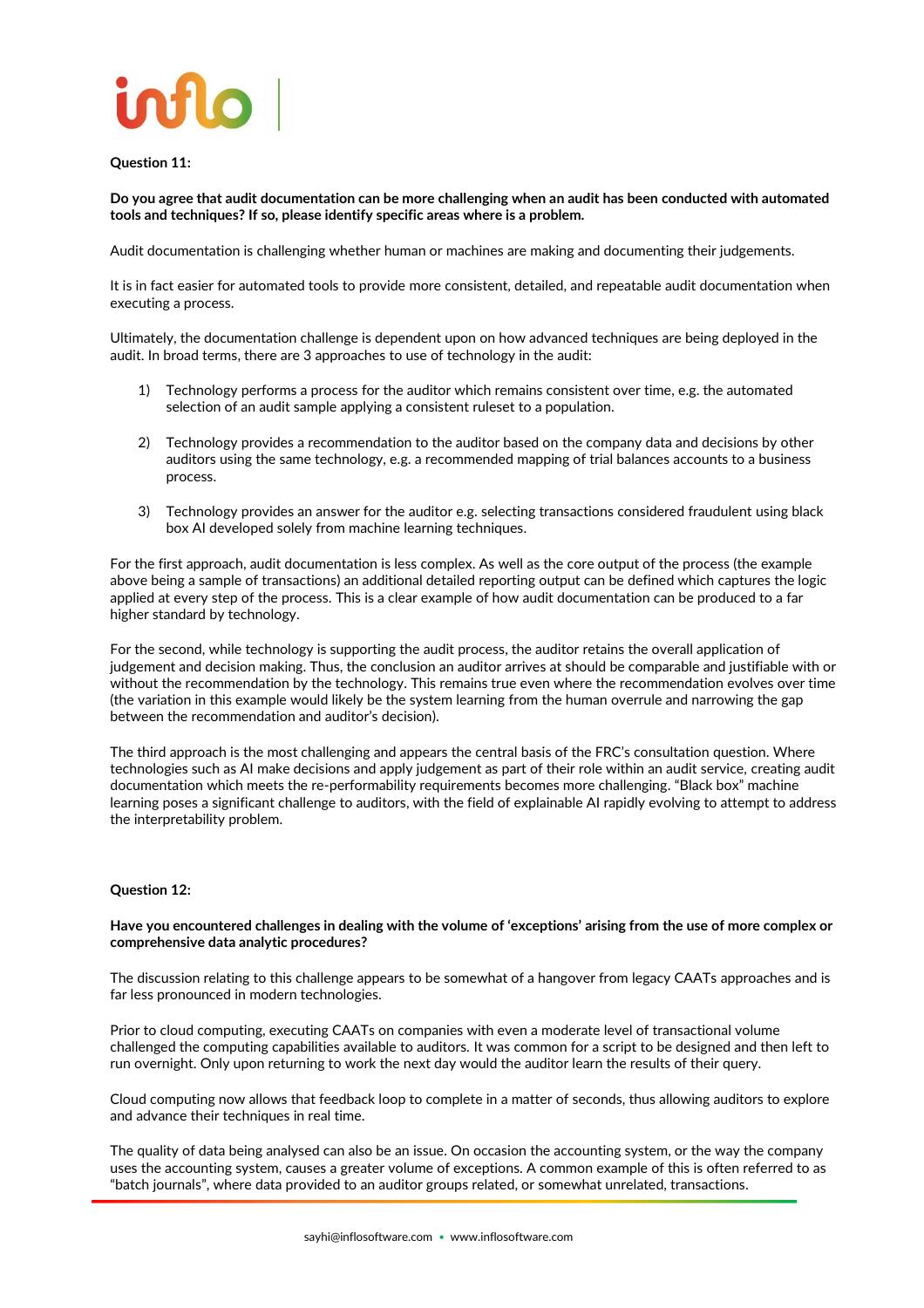

### **Question 11:**

**Do you agree that audit documentation can be more challenging when an audit has been conducted with automated tools and techniques? If so, please identify specific areas where is a problem.**

Audit documentation is challenging whether human or machines are making and documenting their judgements.

It is in fact easier for automated tools to provide more consistent, detailed, and repeatable audit documentation when executing a process.

Ultimately, the documentation challenge is dependent upon on how advanced techniques are being deployed in the audit. In broad terms, there are 3 approaches to use of technology in the audit:

- 1) Technology performs a process for the auditor which remains consistent over time, e.g. the automated selection of an audit sample applying a consistent ruleset to a population.
- 2) Technology provides a recommendation to the auditor based on the company data and decisions by other auditors using the same technology, e.g. a recommended mapping of trial balances accounts to a business process.
- 3) Technology provides an answer for the auditor e.g. selecting transactions considered fraudulent using black box AI developed solely from machine learning techniques.

For the first approach, audit documentation is less complex. As well as the core output of the process (the example above being a sample of transactions) an additional detailed reporting output can be defined which captures the logic applied at every step of the process. This is a clear example of how audit documentation can be produced to a far higher standard by technology.

For the second, while technology is supporting the audit process, the auditor retains the overall application of judgement and decision making. Thus, the conclusion an auditor arrives at should be comparable and justifiable with or without the recommendation by the technology. This remains true even where the recommendation evolves over time (the variation in this example would likely be the system learning from the human overrule and narrowing the gap between the recommendation and auditor's decision).

The third approach is the most challenging and appears the central basis of the FRC's consultation question. Where technologies such as AI make decisions and apply judgement as part of their role within an audit service, creating audit documentation which meets the re-performability requirements becomes more challenging. "Black box" machine learning poses a significant challenge to auditors, with the field of explainable AI rapidly evolving to attempt to address the interpretability problem.

#### **Question 12:**

#### **Have you encountered challenges in dealing with the volume of 'exceptions' arising from the use of more complex or comprehensive data analytic procedures?**

The discussion relating to this challenge appears to be somewhat of a hangover from legacy CAATs approaches and is far less pronounced in modern technologies.

Prior to cloud computing, executing CAATs on companies with even a moderate level of transactional volume challenged the computing capabilities available to auditors. It was common for a script to be designed and then left to run overnight. Only upon returning to work the next day would the auditor learn the results of their query.

Cloud computing now allows that feedback loop to complete in a matter of seconds, thus allowing auditors to explore and advance their techniques in real time.

The quality of data being analysed can also be an issue. On occasion the accounting system, or the way the company uses the accounting system, causes a greater volume of exceptions. A common example of this is often referred to as "batch journals", where data provided to an auditor groups related, or somewhat unrelated, transactions.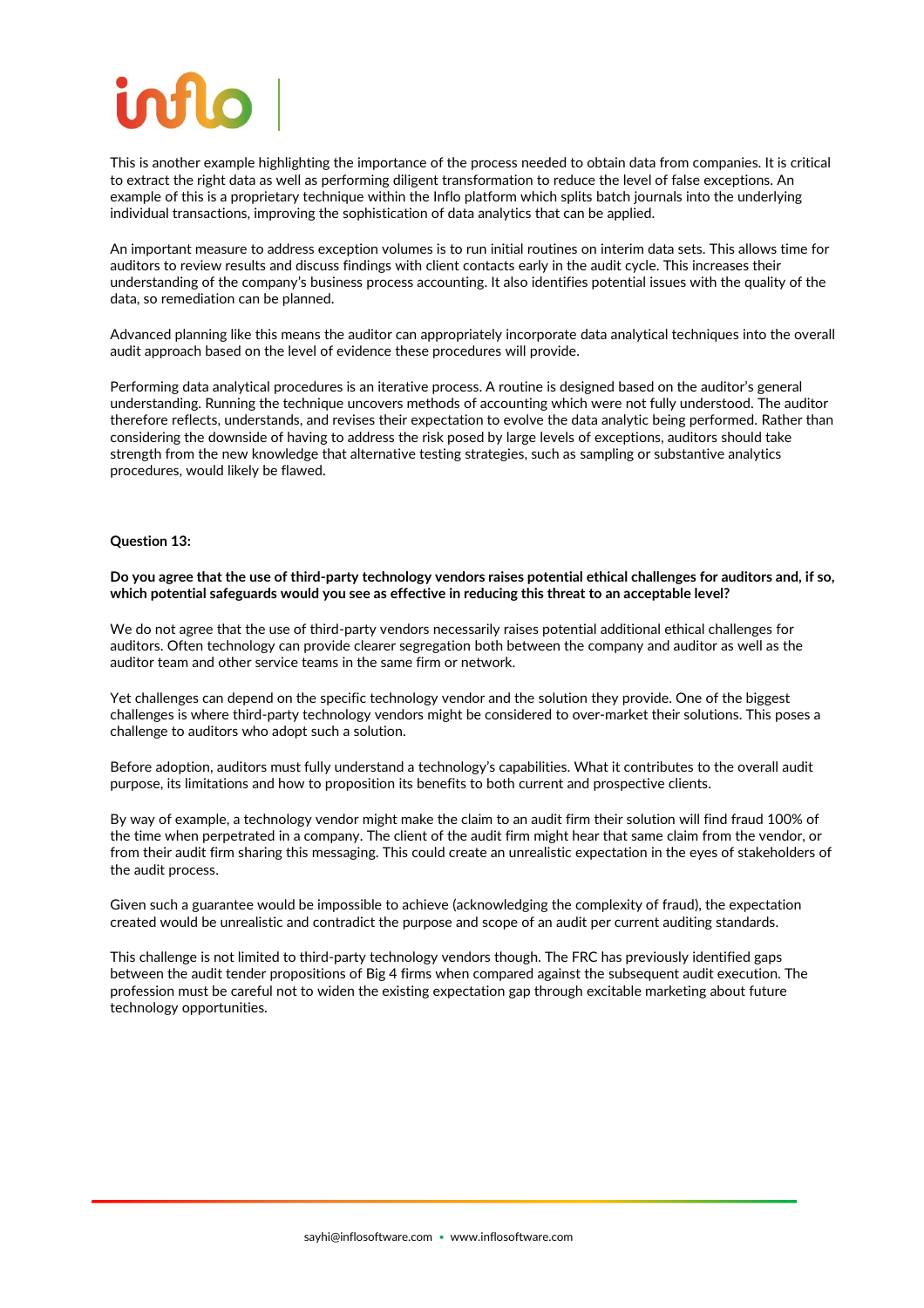This is another example highlighting the importance of the process needed to obtain data from companies. It is critical to extract the right data as well as performing diligent transformation to reduce the level of false exceptions. An example of this is a proprietary technique within the Inflo platform which splits batch journals into the underlying individual transactions, improving the sophistication of data analytics that can be applied.

An important measure to address exception volumes is to run initial routines on interim data sets. This allows time for auditors to review results and discuss findings with client contacts early in the audit cycle. This increases their understanding of the company's business process accounting. It also identifies potential issues with the quality of the data, so remediation can be planned.

Advanced planning like this means the auditor can appropriately incorporate data analytical techniques into the overall audit approach based on the level of evidence these procedures will provide.

Performing data analytical procedures is an iterative process. A routine is designed based on the auditor's general understanding. Running the technique uncovers methods of accounting which were not fully understood. The auditor therefore reflects, understands, and revises their expectation to evolve the data analytic being performed. Rather than considering the downside of having to address the risk posed by large levels of exceptions, auditors should take strength from the new knowledge that alternative testing strategies, such as sampling or substantive analytics procedures, would likely be flawed.

### **Question 13:**

**Do you agree that the use of third-party technology vendors raises potential ethical challenges for auditors and, if so, which potential safeguards would you see as effective in reducing this threat to an acceptable level?**

We do not agree that the use of third-party vendors necessarily raises potential additional ethical challenges for auditors. Often technology can provide clearer segregation both between the company and auditor as well as the auditor team and other service teams in the same firm or network.

Yet challenges can depend on the specific technology vendor and the solution they provide. One of the biggest challenges is where third-party technology vendors might be considered to over-market their solutions. This poses a challenge to auditors who adopt such a solution.

Before adoption, auditors must fully understand a technology's capabilities. What it contributes to the overall audit purpose, its limitations and how to proposition its benefits to both current and prospective clients.

By way of example, a technology vendor might make the claim to an audit firm their solution will find fraud 100% of the time when perpetrated in a company. The client of the audit firm might hear that same claim from the vendor, or from their audit firm sharing this messaging. This could create an unrealistic expectation in the eyes of stakeholders of the audit process.

Given such a guarantee would be impossible to achieve (acknowledging the complexity of fraud), the expectation created would be unrealistic and contradict the purpose and scope of an audit per current auditing standards.

This challenge is not limited to third-party technology vendors though. The FRC has previously identified gaps between the audit tender propositions of Big 4 firms when compared against the subsequent audit execution. The profession must be careful not to widen the existing expectation gap through excitable marketing about future technology opportunities.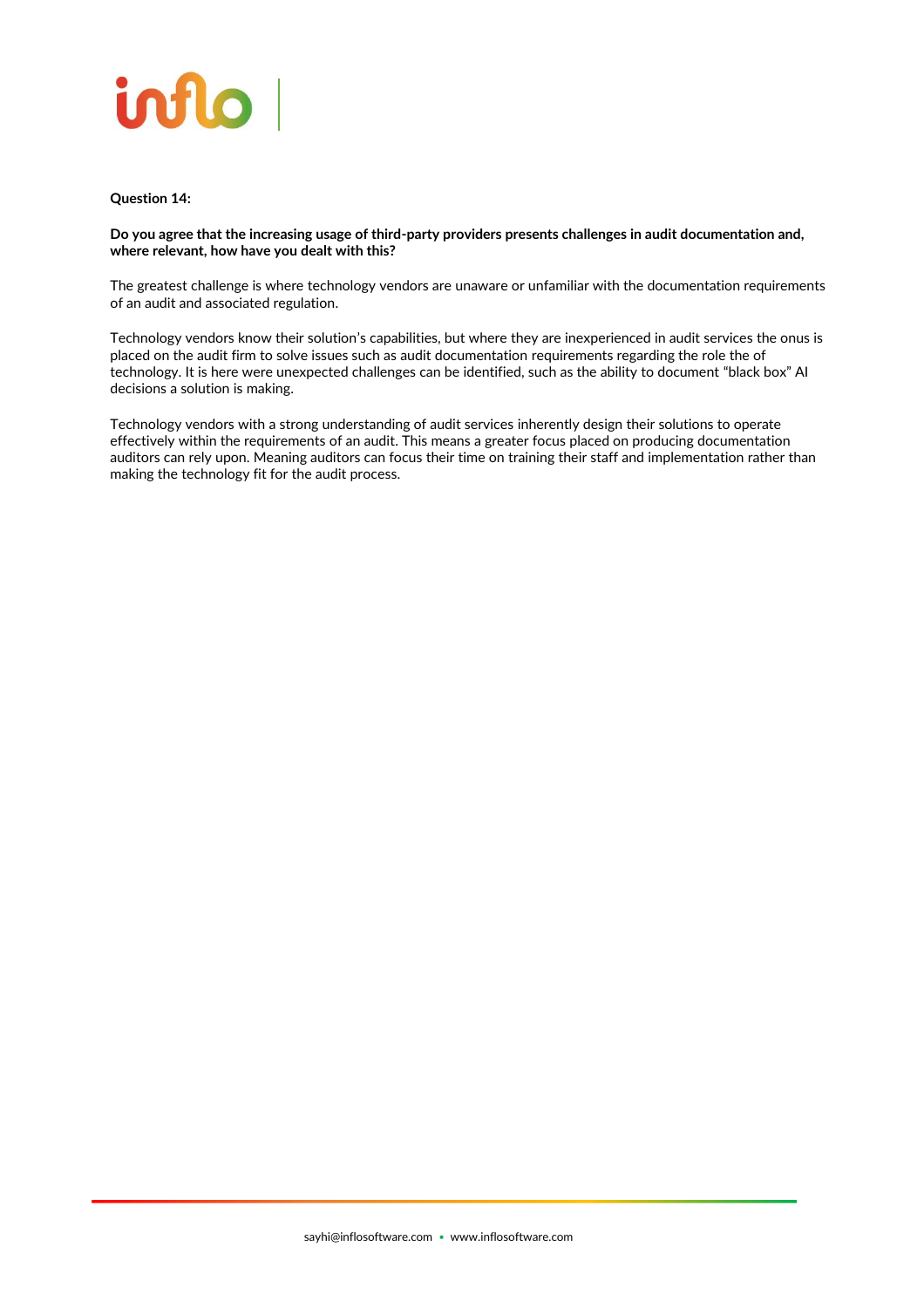

### **Question 14:**

**Do you agree that the increasing usage of third-party providers presents challenges in audit documentation and, where relevant, how have you dealt with this?**

The greatest challenge is where technology vendors are unaware or unfamiliar with the documentation requirements of an audit and associated regulation.

Technology vendors know their solution's capabilities, but where they are inexperienced in audit services the onus is placed on the audit firm to solve issues such as audit documentation requirements regarding the role the of technology. It is here were unexpected challenges can be identified, such as the ability to document "black box" AI decisions a solution is making.

Technology vendors with a strong understanding of audit services inherently design their solutions to operate effectively within the requirements of an audit. This means a greater focus placed on producing documentation auditors can rely upon. Meaning auditors can focus their time on training their staff and implementation rather than making the technology fit for the audit process.